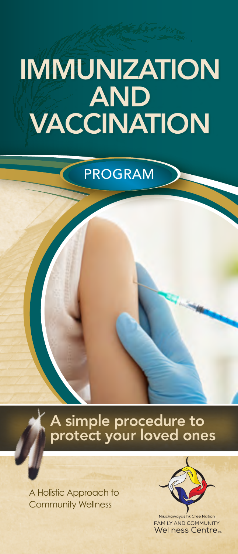# IMMUNIZATION AND VACCINATION

PROGRAM

A simple procedure to protect your loved ones

A Holistic Approach to Community Wellness



**FAMILY AND COMMUNITY Wellness Centre**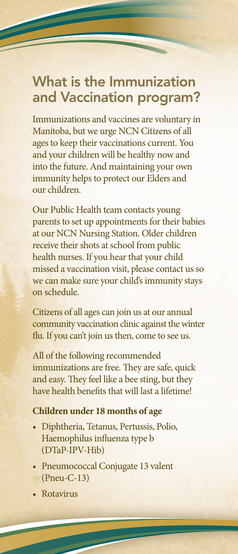## What is the Immunization and Vaccination program?

F

Immunizations and vaccines are voluntary in Manitoba, but we urge NCN Citizens of all ages to keep their vaccinations current. You and your children will be healthy now and into the future. And maintaining your own immunity helps to protect our Elders and our children.

Our Public Health team contacts young parents to set up appointments for their babies at our NCN Nursing Station. Older children receive their shots at school from public health nurses. If you hear that your child missed a vaccination visit, please contact us so we can make sure your child's immunity stays on schedule.

Citizens of all ages can join us at our annual community vaccination clinic against the winter flu. If you can't join us then, come to see us.

All of the following recommended immunizations are free. They are safe, quick and easy. They feel like a bee sting, but they have health benefits that will last a lifetime!

#### **Children under 18 months of age**

- Diphtheria, Tetanus, Pertussis, Polio, Haemophilus influenza type b (DTaP-IPV-Hib)
- Pneumococcal Conjugate 13 valent (Pneu-C-13)
- Rotavirus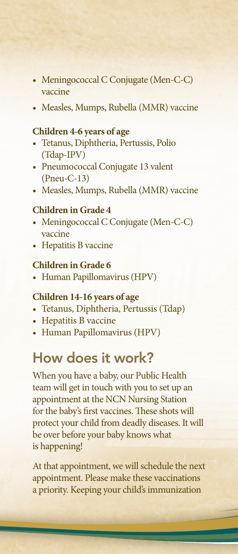- Meningococcal C Conjugate (Men-C-C) vaccine
- Measles, Mumps, Rubella (MMR) vaccine

#### **Children 4-6 years of age**

- Tetanus, Diphtheria, Pertussis, Polio (Tdap-IPV)
- Pneumococcal Conjugate 13 valent (Pneu-C-13)
- Measles, Mumps, Rubella (MMR) vaccine

#### **Children in Grade 4**

- Meningococcal C Conjugate (Men-C-C) vaccine
- Hepatitis B vaccine

#### **Children in Grade 6**

• Human Papillomavirus (HPV)

#### **Children 14-16 years of age**

- Tetanus, Diphtheria, Pertussis (Tdap)
- Hepatitis B vaccine
- Human Papillomavirus (HPV)

## How does it work?

When you have a baby, our Public Health team will get in touch with you to set up an appointment at the NCN Nursing Station for the baby's first vaccines. These shots will protect your child from deadly diseases. It will be over before your baby knows what is happening!

At that appointment, we will schedule the next appointment. Please make these vaccinations a priority. Keeping your child's immunization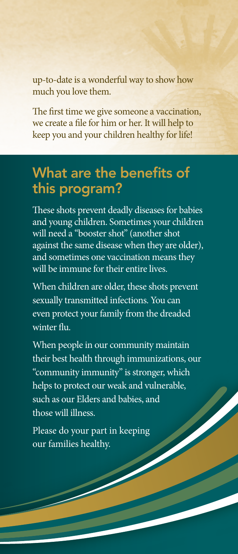up-to-date is a wonderful way to show how much you love them.

The first time we give someone a vaccination, we create a file for him or her. It will help to keep you and your children healthy for life!

## What are the benefits of this program?

These shots prevent deadly diseases for babies and young children. Sometimes your children will need a "booster shot" (another shot against the same disease when they are older), and sometimes one vaccination means they will be immune for their entire lives.

When children are older, these shots prevent sexually transmitted infections. You can even protect your family from the dreaded winter flu.

When people in our community maintain their best health through immunizations, our "community immunity" is stronger, which helps to protect our weak and vulnerable, such as our Elders and babies, and those will illness.

Please do your part in keeping our families healthy.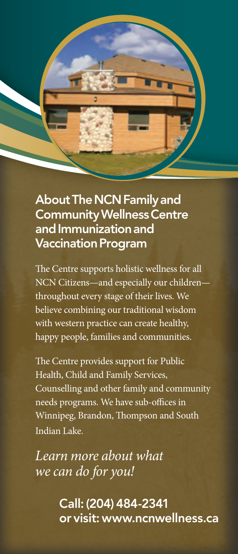

## About The NCN Family and Community Wellness Centre and Immunization and Vaccination Program

The Centre supports holistic wellness for all NCN Citizens—and especially our children throughout every stage of their lives. We believe combining our traditional wisdom with western practice can create healthy, happy people, families and communities.

The Centre provides support for Public Health, Child and Family Services, Counselling and other family and community needs programs. We have sub-offices in Winnipeg, Brandon, Thompson and South Indian Lake.

*Learn more about what we can do for you!*

> Call: (204) 484-2341 or visit: www.ncnwellness.ca